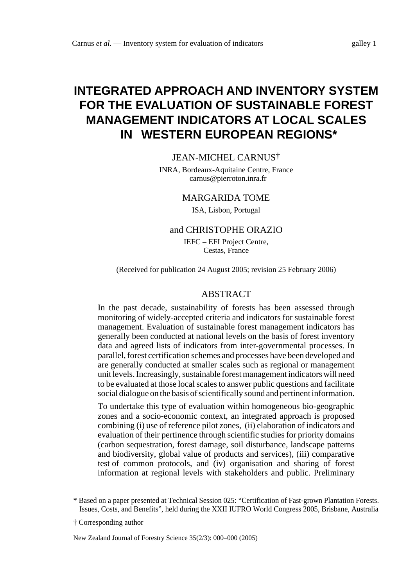# **INTEGRATED APPROACH AND INVENTORY SYSTEM FOR THE EVALUATION OF SUSTAINABLE FOREST MANAGEMENT INDICATORS AT LOCAL SCALES IN WESTERN EUROPEAN REGIONS\***

#### JEAN-MICHEL CARNUS†

INRA, Bordeaux-Aquitaine Centre, France carnus@pierroton.inra.fr

#### MARGARIDA TOME

ISA, Lisbon, Portugal

#### and CHRISTOPHE ORAZIO

IEFC – EFI Project Centre, Cestas, France

(Received for publication 24 August 2005; revision 25 February 2006)

#### ABSTRACT

In the past decade, sustainability of forests has been assessed through monitoring of widely-accepted criteria and indicators for sustainable forest management. Evaluation of sustainable forest management indicators has generally been conducted at national levels on the basis of forest inventory data and agreed lists of indicators from inter-governmental processes. In parallel, forest certification schemes and processes have been developed and are generally conducted at smaller scales such as regional or management unit levels. Increasingly, sustainable forest management indicators will need to be evaluated at those local scales to answer public questions and facilitate social dialogue on the basis of scientifically sound and pertinent information.

To undertake this type of evaluation within homogeneous bio-geographic zones and a socio-economic context, an integrated approach is proposed combining (i) use of reference pilot zones, (ii) elaboration of indicators and evaluation of their pertinence through scientific studies for priority domains (carbon sequestration, forest damage, soil disturbance, landscape patterns and biodiversity, global value of products and services), (iii) comparative test of common protocols, and (iv) organisation and sharing of forest information at regional levels with stakeholders and public. Preliminary

<sup>\*</sup> Based on a paper presented at Technical Session 025: "Certification of Fast-grown Plantation Forests. Issues, Costs, and Benefits", held during the XXII IUFRO World Congress 2005, Brisbane, Australia

<sup>†</sup> Corresponding author

New Zealand Journal of Forestry Science 35(2/3): 000–000 (2005)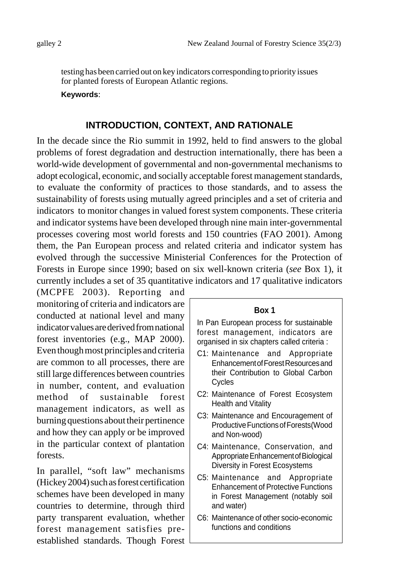testing has been carried out on key indicators corresponding to priority issues for planted forests of European Atlantic regions.

#### **Keywords**:

## **INTRODUCTION, CONTEXT, AND RATIONALE**

In the decade since the Rio summit in 1992, held to find answers to the global problems of forest degradation and destruction internationally, there has been a world-wide development of governmental and non-governmental mechanisms to adopt ecological, economic, and socially acceptable forest management standards, to evaluate the conformity of practices to those standards, and to assess the sustainability of forests using mutually agreed principles and a set of criteria and indicators to monitor changes in valued forest system components. These criteria and indicator systems have been developed through nine main inter-governmental processes covering most world forests and 150 countries (FAO 2001). Among them, the Pan European process and related criteria and indicator system has evolved through the successive Ministerial Conferences for the Protection of Forests in Europe since 1990; based on six well-known criteria (*see* Box 1), it currently includes a set of 35 quantitative indicators and 17 qualitative indicators

(MCPFE 2003). Reporting and monitoring of criteria and indicators are conducted at national level and many indicator values are derived from national forest inventories (e.g., MAP 2000). Even though most principles and criteria are common to all processes, there are still large differences between countries in number, content, and evaluation method of sustainable forest management indicators, as well as burning questions about their pertinence and how they can apply or be improved in the particular context of plantation forests.

In parallel, "soft law" mechanisms (Hickey 2004) such as forest certification schemes have been developed in many countries to determine, through third party transparent evaluation, whether forest management satisfies preestablished standards. Though Forest

#### **Box 1**

In Pan European process for sustainable forest management, indicators are organised in six chapters called criteria :

- C1: Maintenance and Appropriate Enhancement of Forest Resources and their Contribution to Global Carbon Cycles
- C2: Maintenance of Forest Ecosystem Health and Vitality
- C3: Maintenance and Encouragement of Productive Functions of Forests(Wood and Non-wood)
- C4: Maintenance, Conservation, and Appropriate Enhancement of Biological Diversity in Forest Ecosystems
- C5: Maintenance and Appropriate Enhancement of Protective Functions in Forest Management (notably soil and water)
- C6: Maintenance of other socio-economic functions and conditions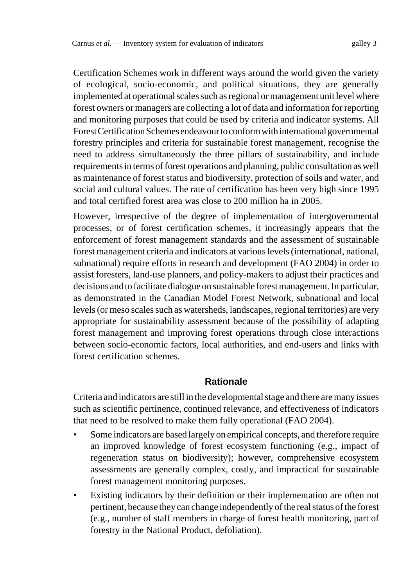Certification Schemes work in different ways around the world given the variety of ecological, socio-economic, and political situations, they are generally implemented at operational scales such as regional or management unit level where forest owners or managers are collecting a lot of data and information for reporting and monitoring purposes that could be used by criteria and indicator systems. All Forest Certification Schemes endeavour to conform with international governmental forestry principles and criteria for sustainable forest management, recognise the need to address simultaneously the three pillars of sustainability, and include requirements in terms of forest operations and planning, public consultation as well as maintenance of forest status and biodiversity, protection of soils and water, and social and cultural values. The rate of certification has been very high since 1995 and total certified forest area was close to 200 million ha in 2005.

However, irrespective of the degree of implementation of intergovernmental processes, or of forest certification schemes, it increasingly appears that the enforcement of forest management standards and the assessment of sustainable forest management criteria and indicators at various levels (international, national, subnational) require efforts in research and development (FAO 2004) in order to assist foresters, land-use planners, and policy-makers to adjust their practices and decisions and to facilitate dialogue on sustainable forest management. In particular, as demonstrated in the Canadian Model Forest Network, subnational and local levels (or meso scales such as watersheds, landscapes, regional territories) are very appropriate for sustainability assessment because of the possibility of adapting forest management and improving forest operations through close interactions between socio-economic factors, local authorities, and end-users and links with forest certification schemes.

#### **Rationale**

Criteria and indicators are still in the developmental stage and there are many issues such as scientific pertinence, continued relevance, and effectiveness of indicators that need to be resolved to make them fully operational (FAO 2004).

- Some indicators are based largely on empirical concepts, and therefore require an improved knowledge of forest ecosystem functioning (e.g., impact of regeneration status on biodiversity); however, comprehensive ecosystem assessments are generally complex, costly, and impractical for sustainable forest management monitoring purposes.
- Existing indicators by their definition or their implementation are often not pertinent, because they can change independently of the real status of the forest (e.g., number of staff members in charge of forest health monitoring, part of forestry in the National Product, defoliation).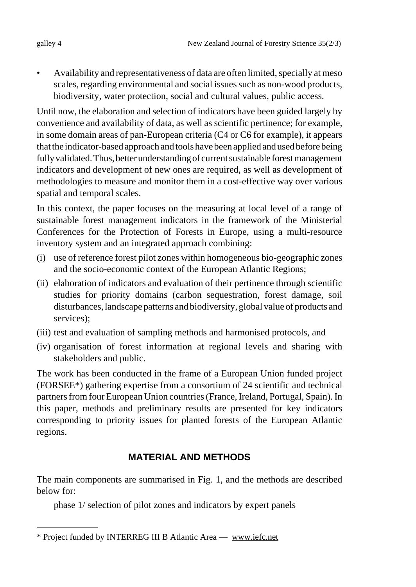• Availability and representativeness of data are often limited, specially at meso scales, regarding environmental and social issues such as non-wood products, biodiversity, water protection, social and cultural values, public access.

Until now, the elaboration and selection of indicators have been guided largely by convenience and availability of data, as well as scientific pertinence; for example, in some domain areas of pan-European criteria (C4 or C6 for example), it appears that the indicator-based approach and tools have been applied and used before being fully validated. Thus, better understanding of current sustainable forest management indicators and development of new ones are required, as well as development of methodologies to measure and monitor them in a cost-effective way over various spatial and temporal scales.

In this context, the paper focuses on the measuring at local level of a range of sustainable forest management indicators in the framework of the Ministerial Conferences for the Protection of Forests in Europe, using a multi-resource inventory system and an integrated approach combining:

- (i) use of reference forest pilot zones within homogeneous bio-geographic zones and the socio-economic context of the European Atlantic Regions;
- (ii) elaboration of indicators and evaluation of their pertinence through scientific studies for priority domains (carbon sequestration, forest damage, soil disturbances, landscape patterns and biodiversity, global value of products and services);
- (iii) test and evaluation of sampling methods and harmonised protocols, and
- (iv) organisation of forest information at regional levels and sharing with stakeholders and public.

The work has been conducted in the frame of a European Union funded project (FORSEE\*) gathering expertise from a consortium of 24 scientific and technical partners from four European Union countries (France, Ireland, Portugal, Spain). In this paper, methods and preliminary results are presented for key indicators corresponding to priority issues for planted forests of the European Atlantic regions.

## **MATERIAL AND METHODS**

The main components are summarised in Fig. 1, and the methods are described below for:

phase 1/ selection of pilot zones and indicators by expert panels

<sup>\*</sup> Project funded by INTERREG III B Atlantic Area — www.iefc.net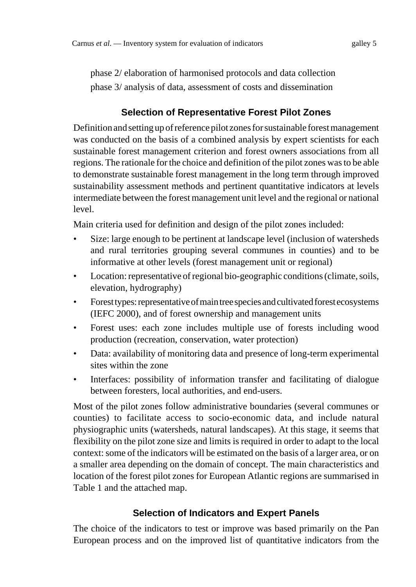phase 2/ elaboration of harmonised protocols and data collection phase 3/ analysis of data, assessment of costs and dissemination

## **Selection of Representative Forest Pilot Zones**

Definition and setting up of reference pilot zones for sustainable forest management was conducted on the basis of a combined analysis by expert scientists for each sustainable forest management criterion and forest owners associations from all regions. The rationale for the choice and definition of the pilot zones was to be able to demonstrate sustainable forest management in the long term through improved sustainability assessment methods and pertinent quantitative indicators at levels intermediate between the forest management unit level and the regional or national level.

Main criteria used for definition and design of the pilot zones included:

- Size: large enough to be pertinent at landscape level (inclusion of watersheds and rural territories grouping several communes in counties) and to be informative at other levels (forest management unit or regional)
- Location: representative of regional bio-geographic conditions (climate, soils, elevation, hydrography)
- Forest types: representative of main tree species and cultivated forest ecosystems (IEFC 2000), and of forest ownership and management units
- Forest uses: each zone includes multiple use of forests including wood production (recreation, conservation, water protection)
- Data: availability of monitoring data and presence of long-term experimental sites within the zone
- Interfaces: possibility of information transfer and facilitating of dialogue between foresters, local authorities, and end-users.

Most of the pilot zones follow administrative boundaries (several communes or counties) to facilitate access to socio-economic data, and include natural physiographic units (watersheds, natural landscapes). At this stage, it seems that flexibility on the pilot zone size and limits is required in order to adapt to the local context: some of the indicators will be estimated on the basis of a larger area, or on a smaller area depending on the domain of concept. The main characteristics and location of the forest pilot zones for European Atlantic regions are summarised in Table 1 and the attached map.

## **Selection of Indicators and Expert Panels**

The choice of the indicators to test or improve was based primarily on the Pan European process and on the improved list of quantitative indicators from the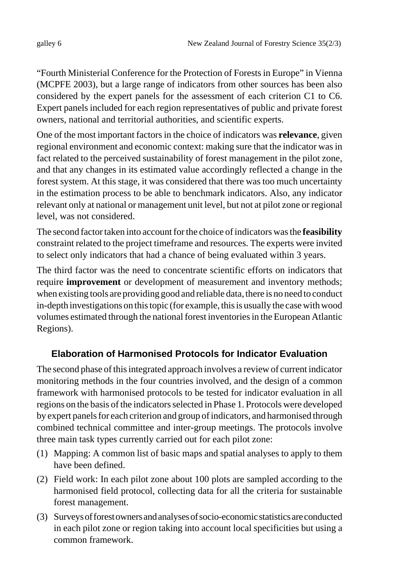"Fourth Ministerial Conference for the Protection of Forests in Europe" in Vienna (MCPFE 2003), but a large range of indicators from other sources has been also considered by the expert panels for the assessment of each criterion C1 to C6. Expert panels included for each region representatives of public and private forest owners, national and territorial authorities, and scientific experts.

One of the most important factors in the choice of indicators was **relevance**, given regional environment and economic context: making sure that the indicator was in fact related to the perceived sustainability of forest management in the pilot zone, and that any changes in its estimated value accordingly reflected a change in the forest system. At this stage, it was considered that there was too much uncertainty in the estimation process to be able to benchmark indicators. Also, any indicator relevant only at national or management unit level, but not at pilot zone or regional level, was not considered.

The second factor taken into account for the choice of indicators was the **feasibility** constraint related to the project timeframe and resources. The experts were invited to select only indicators that had a chance of being evaluated within 3 years.

The third factor was the need to concentrate scientific efforts on indicators that require **improvement** or development of measurement and inventory methods; when existing tools are providing good and reliable data, there is no need to conduct in-depth investigations on this topic (for example, this is usually the case with wood volumes estimated through the national forest inventories in the European Atlantic Regions).

#### **Elaboration of Harmonised Protocols for Indicator Evaluation**

The second phase of this integrated approach involves a review of current indicator monitoring methods in the four countries involved, and the design of a common framework with harmonised protocols to be tested for indicator evaluation in all regions on the basis of the indicators selected in Phase 1. Protocols were developed by expert panels for each criterion and group of indicators, and harmonised through combined technical committee and inter-group meetings. The protocols involve three main task types currently carried out for each pilot zone:

- (1) Mapping: A common list of basic maps and spatial analyses to apply to them have been defined.
- (2) Field work: In each pilot zone about 100 plots are sampled according to the harmonised field protocol, collecting data for all the criteria for sustainable forest management.
- (3) Surveys of forest owners and analyses of socio-economic statistics are conducted in each pilot zone or region taking into account local specificities but using a common framework.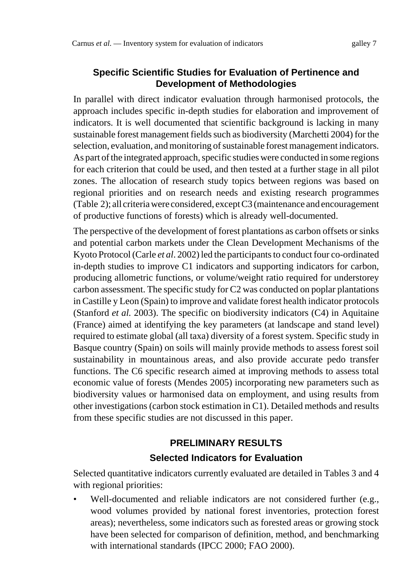#### **Specific Scientific Studies for Evaluation of Pertinence and Development of Methodologies**

In parallel with direct indicator evaluation through harmonised protocols, the approach includes specific in-depth studies for elaboration and improvement of indicators. It is well documented that scientific background is lacking in many sustainable forest management fields such as biodiversity (Marchetti 2004) for the selection, evaluation, and monitoring of sustainable forest management indicators. As part of the integrated approach, specific studies were conducted in some regions for each criterion that could be used, and then tested at a further stage in all pilot zones. The allocation of research study topics between regions was based on regional priorities and on research needs and existing research programmes (Table 2); all criteria were considered, except C3 (maintenance and encouragement of productive functions of forests) which is already well-documented.

The perspective of the development of forest plantations as carbon offsets or sinks and potential carbon markets under the Clean Development Mechanisms of the Kyoto Protocol (Carle *et al*. 2002) led the participants to conduct four co-ordinated in-depth studies to improve C1 indicators and supporting indicators for carbon, producing allometric functions, or volume/weight ratio required for understorey carbon assessment. The specific study for C2 was conducted on poplar plantations in Castille y Leon (Spain) to improve and validate forest health indicator protocols (Stanford *et al.* 2003). The specific on biodiversity indicators (C4) in Aquitaine (France) aimed at identifying the key parameters (at landscape and stand level) required to estimate global (all taxa) diversity of a forest system. Specific study in Basque country (Spain) on soils will mainly provide methods to assess forest soil sustainability in mountainous areas, and also provide accurate pedo transfer functions. The C6 specific research aimed at improving methods to assess total economic value of forests (Mendes 2005) incorporating new parameters such as biodiversity values or harmonised data on employment, and using results from other investigations (carbon stock estimation in C1). Detailed methods and results from these specific studies are not discussed in this paper.

# **PRELIMINARY RESULTS Selected Indicators for Evaluation**

Selected quantitative indicators currently evaluated are detailed in Tables 3 and 4 with regional priorities:

• Well-documented and reliable indicators are not considered further (e.g., wood volumes provided by national forest inventories, protection forest areas); nevertheless, some indicators such as forested areas or growing stock have been selected for comparison of definition, method, and benchmarking with international standards (IPCC 2000; FAO 2000).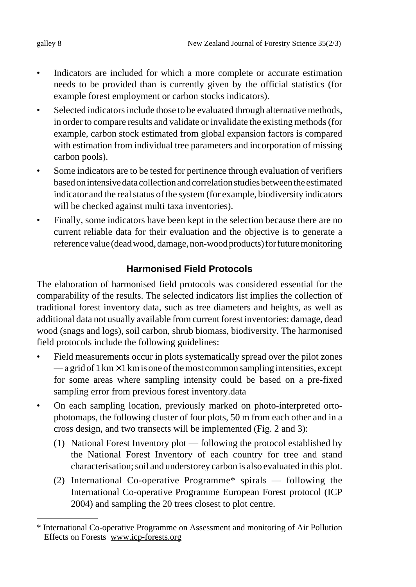- Indicators are included for which a more complete or accurate estimation needs to be provided than is currently given by the official statistics (for example forest employment or carbon stocks indicators).
- Selected indicators include those to be evaluated through alternative methods, in order to compare results and validate or invalidate the existing methods (for example, carbon stock estimated from global expansion factors is compared with estimation from individual tree parameters and incorporation of missing carbon pools).
- Some indicators are to be tested for pertinence through evaluation of verifiers based on intensive data collection and correlation studies between the estimated indicator and the real status of the system (for example, biodiversity indicators will be checked against multi taxa inventories).
- Finally, some indicators have been kept in the selection because there are no current reliable data for their evaluation and the objective is to generate a reference value (dead wood, damage, non-wood products) for future monitoring

# **Harmonised Field Protocols**

The elaboration of harmonised field protocols was considered essential for the comparability of the results. The selected indicators list implies the collection of traditional forest inventory data, such as tree diameters and heights, as well as additional data not usually available from current forest inventories: damage, dead wood (snags and logs), soil carbon, shrub biomass, biodiversity. The harmonised field protocols include the following guidelines:

- Field measurements occur in plots systematically spread over the pilot zones  $-\alpha$  grid of 1 km  $\times$  1 km is one of the most common sampling intensities, except for some areas where sampling intensity could be based on a pre-fixed sampling error from previous forest inventory.data
- On each sampling location, previously marked on photo-interpreted ortophotomaps, the following cluster of four plots, 50 m from each other and in a cross design, and two transects will be implemented (Fig. 2 and 3):
	- (1) National Forest Inventory plot following the protocol established by the National Forest Inventory of each country for tree and stand characterisation; soil and understorey carbon is also evaluated in this plot.
	- (2) International Co-operative Programme\* spirals following the International Co-operative Programme European Forest protocol (ICP 2004) and sampling the 20 trees closest to plot centre.

<sup>\*</sup> International Co-operative Programme on Assessment and monitoring of Air Pollution Effects on Forests www.icp-forests.org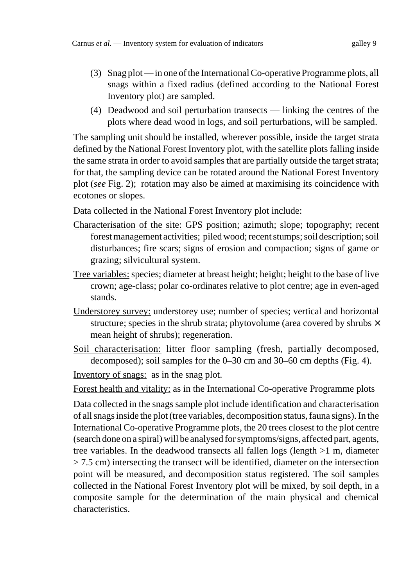- (3) Snag plot in one of the International Co-operative Programme plots, all snags within a fixed radius (defined according to the National Forest Inventory plot) are sampled.
- (4) Deadwood and soil perturbation transects linking the centres of the plots where dead wood in logs, and soil perturbations, will be sampled.

The sampling unit should be installed, wherever possible, inside the target strata defined by the National Forest Inventory plot, with the satellite plots falling inside the same strata in order to avoid samples that are partially outside the target strata; for that, the sampling device can be rotated around the National Forest Inventory plot (*see* Fig. 2); rotation may also be aimed at maximising its coincidence with ecotones or slopes.

Data collected in the National Forest Inventory plot include:

- Characterisation of the site: GPS position; azimuth; slope; topography; recent forest management activities; piled wood; recent stumps; soil description; soil disturbances; fire scars; signs of erosion and compaction; signs of game or grazing; silvicultural system.
- Tree variables: species; diameter at breast height; height; height to the base of live crown; age-class; polar co-ordinates relative to plot centre; age in even-aged stands.
- Understorey survey: understorey use; number of species; vertical and horizontal structure; species in the shrub strata; phytovolume (area covered by shrubs  $\times$ mean height of shrubs); regeneration.
- Soil characterisation: litter floor sampling (fresh, partially decomposed, decomposed); soil samples for the 0–30 cm and 30–60 cm depths (Fig. 4).

Inventory of snags: as in the snag plot.

Forest health and vitality: as in the International Co-operative Programme plots

Data collected in the snags sample plot include identification and characterisation of all snags inside the plot (tree variables, decomposition status, fauna signs). In the International Co-operative Programme plots, the 20 trees closest to the plot centre (search done on a spiral) will be analysed for symptoms/signs, affected part, agents, tree variables. In the deadwood transects all fallen logs (length >1 m, diameter > 7.5 cm) intersecting the transect will be identified, diameter on the intersection point will be measured, and decomposition status registered. The soil samples collected in the National Forest Inventory plot will be mixed, by soil depth, in a composite sample for the determination of the main physical and chemical characteristics.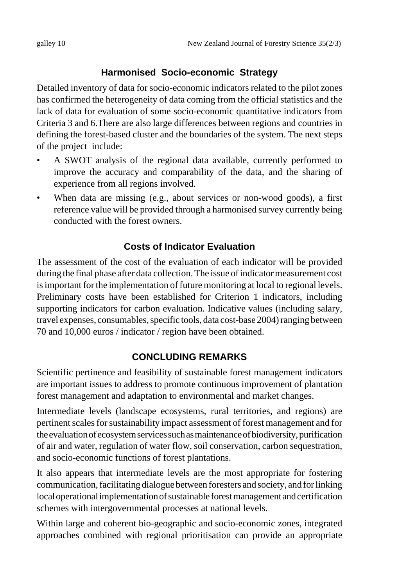## **Harmonised Socio-economic Strategy**

Detailed inventory of data for socio-economic indicators related to the pilot zones has confirmed the heterogeneity of data coming from the official statistics and the lack of data for evaluation of some socio-economic quantitative indicators from Criteria 3 and 6.There are also large differences between regions and countries in defining the forest-based cluster and the boundaries of the system. The next steps of the project include:

- A SWOT analysis of the regional data available, currently performed to improve the accuracy and comparability of the data, and the sharing of experience from all regions involved.
- When data are missing (e.g., about services or non-wood goods), a first reference value will be provided through a harmonised survey currently being conducted with the forest owners.

## **Costs of Indicator Evaluation**

The assessment of the cost of the evaluation of each indicator will be provided during the final phase after data collection. The issue of indicator measurement cost is important for the implementation of future monitoring at local to regional levels. Preliminary costs have been established for Criterion 1 indicators, including supporting indicators for carbon evaluation. Indicative values (including salary, travel expenses, consumables, specific tools, data cost-base 2004) ranging between 70 and 10,000 euros / indicator / region have been obtained.

## **CONCLUDING REMARKS**

Scientific pertinence and feasibility of sustainable forest management indicators are important issues to address to promote continuous improvement of plantation forest management and adaptation to environmental and market changes.

Intermediate levels (landscape ecosystems, rural territories, and regions) are pertinent scales for sustainability impact assessment of forest management and for the evaluation of ecosystem services such as maintenance of biodiversity, purification of air and water, regulation of water flow, soil conservation, carbon sequestration, and socio-economic functions of forest plantations.

It also appears that intermediate levels are the most appropriate for fostering communication, facilitating dialogue between foresters and society, and for linking local operational implementation of sustainable forest management and certification schemes with intergovernmental processes at national levels.

Within large and coherent bio-geographic and socio-economic zones, integrated approaches combined with regional prioritisation can provide an appropriate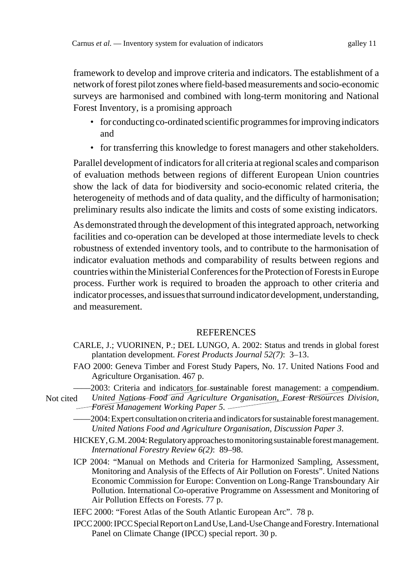framework to develop and improve criteria and indicators. The establishment of a network of forest pilot zones where field-based measurements and socio-economic surveys are harmonised and combined with long-term monitoring and National Forest Inventory, is a promising approach

- for conducting co-ordinated scientific programmes for improving indicators and
- for transferring this knowledge to forest managers and other stakeholders.

Parallel development of indicators for all criteria at regional scales and comparison of evaluation methods between regions of different European Union countries show the lack of data for biodiversity and socio-economic related criteria, the heterogeneity of methods and of data quality, and the difficulty of harmonisation; preliminary results also indicate the limits and costs of some existing indicators.

As demonstrated through the development of this integrated approach, networking facilities and co-operation can be developed at those intermediate levels to check robustness of extended inventory tools, and to contribute to the harmonisation of indicator evaluation methods and comparability of results between regions and countries within the Ministerial Conferences for the Protection of Forests in Europe process. Further work is required to broaden the approach to other criteria and indicator processes, and issues that surround indicator development, understanding, and measurement.

#### **REFERENCES**

- CARLE, J.; VUORINEN, P.; DEL LUNGO, A. 2002: Status and trends in global forest plantation development. *Forest Products Journal 52(7)*: 3–13.
- FAO 2000: Geneva Timber and Forest Study Papers, No. 17. United Nations Food and Agriculture Organisation. 467 p.
- ––––2003: Criteria and indicators for sustainable forest management: a compendium.
- *United Nations Food and Agriculture Organisation, Forest Resources Division*, *Forest Management Working Paper 5*. Not cited
	- ––––2004: Expert consultation on criteria and indicators for sustainable forest management. *United Nations Food and Agriculture Organisation, Discussion Paper 3*.
	- HICKEY, G.M. 2004: Regulatory approaches to monitoring sustainable forest management. *International Forestry Review 6(2)*: 89–98.
	- ICP 2004: "Manual on Methods and Criteria for Harmonized Sampling, Assessment, Monitoring and Analysis of the Effects of Air Pollution on Forests". United Nations Economic Commission for Europe: Convention on Long-Range Transboundary Air Pollution. International Co-operative Programme on Assessment and Monitoring of Air Pollution Effects on Forests. 77 p.
	- IEFC 2000: "Forest Atlas of the South Atlantic European Arc". 78 p.
	- IPCC 2000: IPCC Special Report on Land Use, Land-Use Change and Forestry. International Panel on Climate Change (IPCC) special report. 30 p.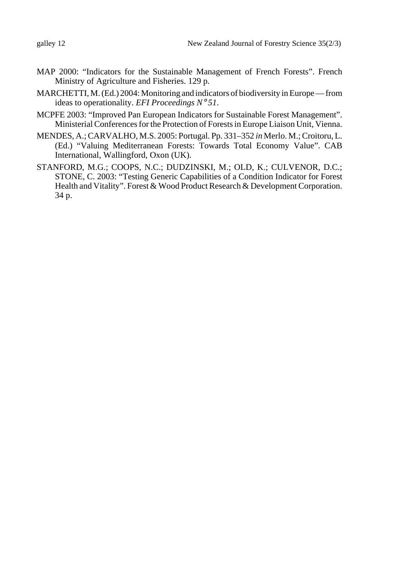- MAP 2000: "Indicators for the Sustainable Management of French Forests". French Ministry of Agriculture and Fisheries. 129 p.
- MARCHETTI, M. (Ed.) 2004: Monitoring and indicators of biodiversity in Europe from ideas to operationality. *EFI Proceedings N*° *51*.
- MCPFE 2003: "Improved Pan European Indicators for Sustainable Forest Management". Ministerial Conferences for the Protection of Forests in Europe Liaison Unit, Vienna.
- MENDES, A.; CARVALHO, M.S. 2005: Portugal. Pp. 331–352 *in* Merlo. M.; Croitoru, L. (Ed.) "Valuing Mediterranean Forests: Towards Total Economy Value". CAB International, Wallingford, Oxon (UK).
- STANFORD, M.G.; COOPS, N.C.; DUDZINSKI, M.; OLD, K.; CULVENOR, D.C.; STONE, C. 2003: "Testing Generic Capabilities of a Condition Indicator for Forest Health and Vitality". Forest & Wood Product Research & Development Corporation. 34 p.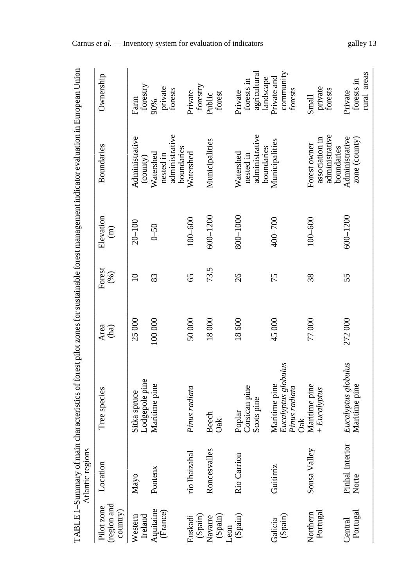|                                      | Atlantic regions         | TABLE 1-Summary of main characteristics of forest pilot zones for sustainable forest management indicator evaluation in European Union |              |                  |                            |                                                  |                                                  |
|--------------------------------------|--------------------------|----------------------------------------------------------------------------------------------------------------------------------------|--------------|------------------|----------------------------|--------------------------------------------------|--------------------------------------------------|
| region and<br>Pilot zone<br>country) | Location                 | Tree species                                                                                                                           | Area<br>(ha) | Forest<br>$(\%)$ | Elevation<br>$\widehat{E}$ | <b>Boundaries</b>                                | Ownership                                        |
| Western<br>Ireland                   | Mayo                     | Lodgepole pine<br>Sitka spruce                                                                                                         | 25000        | $\supseteq$      | $20 - 100$                 | Administrative<br>(county)                       | forestry<br>Farm                                 |
| Aquitaine<br>(France)                | Pontenx                  | Maritime pine                                                                                                                          | 100 000      | 83               | $0 - 50$                   | administrative<br>Watershed<br>nested in         | private<br>forests<br>90%                        |
| (Spain)<br>Euskadi                   | río Ibaizabal            | Pinus radiata                                                                                                                          | 50000        | 65               | $100 - 600$                | boundaries<br>Watershed                          | forestry<br>Private                              |
| (Spain)<br>Navarre                   | Roncesvalles             | <b>Beech</b><br>Oak                                                                                                                    | 18000        | 73.5             | 600-1200                   | Municipalities                                   | forest<br>Public                                 |
| (Spain)<br>Leon                      | Rio Carrion              | Corsican pine<br>Scots pine<br>Poplar                                                                                                  | 18600        | 26               | 800-1000                   | administrative<br>Watershed<br>nested in         | agricultural<br>forests in<br>Private            |
| (Spain)<br>Galicia                   | Guitirriz                | Eucalyptus globulus<br>Maritime pine<br>Pinus radiata                                                                                  | 45000        | 75               | 400-700                    | Municipalities<br>boundaries                     | community<br>Private and<br>landscape<br>forests |
| Portugal<br>Northern                 | Sousa Valley             | Maritime pine<br>$+ Eucalyptus$<br>ðak                                                                                                 | 77000        | 38               | $100 - 600$                | administrative<br>association in<br>Forest owner | private<br>forests<br>Small                      |
| Portugal<br>Central                  | Pinhal Interior<br>Norte | Eucalyptus globulus<br>Maritime pine                                                                                                   | 272000       | 55               | 600-1200                   | Administrative<br>zone (county)<br>boundaries    | rural areas<br>forests in<br>Private             |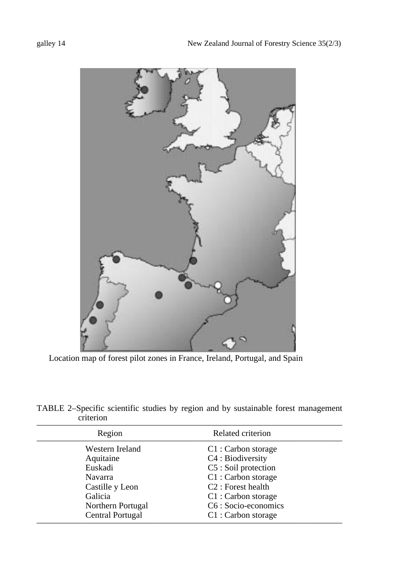

Location map of forest pilot zones in France, Ireland, Portugal, and Spain

| TABLE 2–Specific scientific studies by region and by sustainable forest management |  |  |  |  |  |
|------------------------------------------------------------------------------------|--|--|--|--|--|
| criterion                                                                          |  |  |  |  |  |

| Region            | Related criterion              |
|-------------------|--------------------------------|
| Western Ireland   | C1 : Carbon storage            |
| Aquitaine         | C4 : Biodiversity              |
| Euskadi           | C5 : Soil protection           |
| Navarra           | C1 : Carbon storage            |
| Castille y Leon   | C <sub>2</sub> : Forest health |
| Galicia           | C1 : Carbon storage            |
| Northern Portugal | C6 : Socio-economics           |
| Central Portugal  | C1 : Carbon storage            |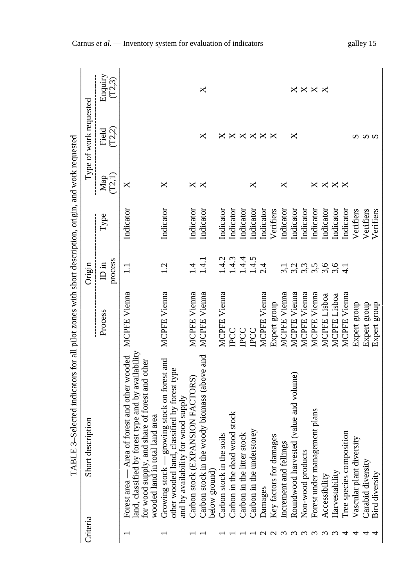|          | E 3-Selected indicators for all pilot zones with short description, origin, and work requested<br>TABI                                                                                             |                     |                                  |           |                           |                            |                   |
|----------|----------------------------------------------------------------------------------------------------------------------------------------------------------------------------------------------------|---------------------|----------------------------------|-----------|---------------------------|----------------------------|-------------------|
| Criteria | Short description                                                                                                                                                                                  |                     | Origin                           |           |                           | Type of work requested     |                   |
|          |                                                                                                                                                                                                    | Process             | process<br>in III                | Type      | (T2, 1)<br>$\mathbf{Map}$ | (T2,2)<br>Field            | Enquiry<br>(T2,3) |
|          | forest type and by availability<br>Area of forest and other wooded<br>for wood supply, and share of forest and other<br>tal land area<br>wooded land in tot<br>land, classified by<br>Forest area- | <b>MCPFE Vienna</b> | $\Xi$                            | Indicator | X                         |                            |                   |
|          | growing stock on forest and<br>other wooded land, classified by forest type<br>for wood supply<br>and by availability<br>Growing stock                                                             | <b>MCPFE Vienna</b> | 1.2                              | Indicator | X                         |                            |                   |
|          | PANSION FACTORS)<br>Carbon stock (EX                                                                                                                                                               | <b>MCPFE Vienna</b> | $\vec{r}$                        | Indicator | X                         |                            |                   |
|          | Carbon stock in the woody biomass (above and<br>below ground)                                                                                                                                      | <b>MCPFE Vienna</b> | 1.4.1                            | Indicator | $\boldsymbol{\mathsf{X}}$ | ×                          | X                 |
|          | Carbon stock in the soils                                                                                                                                                                          | <b>MCPFE Vienna</b> | 1.4.2                            | Indicator |                           | X                          |                   |
|          | Carbon in the dead wood stock                                                                                                                                                                      | IPCC                | 1.4.3                            | Indicator |                           |                            |                   |
|          | Carbon in the litter stock                                                                                                                                                                         | <b>PCC</b>          | 1.4.4                            | Indicator |                           |                            |                   |
|          | Carbon in the understorey                                                                                                                                                                          | PCC                 | 1.4.5                            | Indicator | ×                         | $\times\times\times\times$ |                   |
|          | Damages                                                                                                                                                                                            | MCPFE Vienna        | 2.4                              | Indicator |                           |                            |                   |
|          | Key factors for damages                                                                                                                                                                            | Expert group        |                                  | Verifiers |                           | $\times$                   |                   |
|          | ings<br>Increment and fell                                                                                                                                                                         | MCPFE Vienna        | $\overline{3,1}$                 | Indicator | ×                         |                            |                   |
|          | Roundwood harvested (value and volume)                                                                                                                                                             | MCPFE Vienna        |                                  | Indicator |                           | ×                          |                   |
|          | Non-wood products                                                                                                                                                                                  | MCPFE Vienna        |                                  | Indicator |                           |                            |                   |
|          | Forest under management plans                                                                                                                                                                      | MCPFE Vienna        | ci ci ci ci ci<br>Ci ci ci ci ci | Indicator | ×                         |                            | <b>xxxx</b>       |
|          | Accessibility                                                                                                                                                                                      | MCPFE Lisboa        |                                  | Indicator | X                         |                            |                   |
|          | Harvestability                                                                                                                                                                                     | MCPFE Lisboa        |                                  | Indicator | $\times \times$           |                            |                   |
|          | Tree species composition                                                                                                                                                                           | MCPFE Vienna        | $\overline{d}$                   | Indicator |                           |                            |                   |
|          | Vascular plant diversity                                                                                                                                                                           | Expert group        |                                  | Verifiers |                           |                            |                   |
|          | Carabid diversity                                                                                                                                                                                  | Expert group        |                                  | Verifiers |                           | <b>ທ ທ ທ</b>               |                   |
|          | Bird diversity                                                                                                                                                                                     | Expert group        |                                  | Verifiers |                           |                            |                   |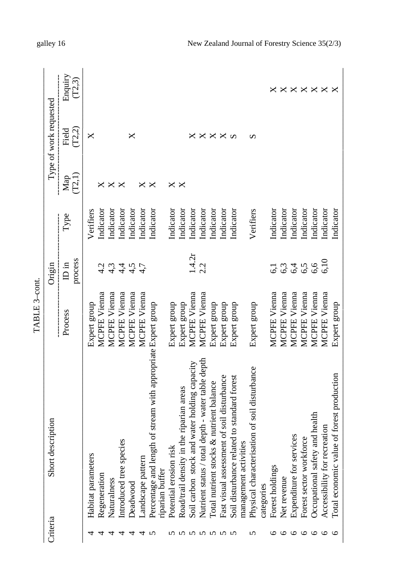|                           |                                                                                  | TABLE 3-cont.       |                              |           |                          |                        |                                  |
|---------------------------|----------------------------------------------------------------------------------|---------------------|------------------------------|-----------|--------------------------|------------------------|----------------------------------|
| Criteria                  | Short description                                                                |                     | Origin                       |           |                          | Type of work requested |                                  |
|                           |                                                                                  | Process             | process<br>ID in             | Type      | (T2,1)<br>$\mathbf{Map}$ | (T2,2)<br>Field        | Enquiry<br>(T2,3)                |
|                           | Habitat parameters                                                               | Expert group        |                              | Verifiers |                          | X                      |                                  |
|                           | Regeneration                                                                     | MCPFE Vienna        | 4.2                          | Indicator | ×                        |                        |                                  |
|                           | Naturalness                                                                      | MCPFE Vienna        | 4,3                          | Indicator | ×                        |                        |                                  |
| 4                         | Introduced tree species                                                          | MCPFE Vienna        |                              | Indicator | $\times$                 |                        |                                  |
| 4                         | Deadwood                                                                         | MCPFE Vienna        | नं नं<br>नं पं नं<br>नं पं न | Indicator |                          | ×                      |                                  |
| 4                         | andscape pattern                                                                 | MCPFE Vienna        |                              | Indicator | ×                        |                        |                                  |
|                           | Percentage and length of stream with appropriate Expert group<br>riparian buffer |                     |                              | Indicator | ×                        |                        |                                  |
|                           | Potential erosion risk                                                           | Expert group        |                              | Indicator |                          |                        |                                  |
|                           | Road/trail density in the riparian areas                                         | Expert group        |                              | Indicator | $\times$ $\times$        |                        |                                  |
| いいいい                      | Soil carbon stock and water holding capacity                                     | MCPFE Vienna        | 1.4.2r                       | Indicator |                          |                        |                                  |
|                           | Nutrient status / total depth - water table depth                                | MCPFE Vienna        | 2.2                          | Indicator |                          | ×                      |                                  |
|                           | Total nutrient stocks & nutrient balance                                         | Expert group        |                              | Indicator |                          |                        |                                  |
|                           | Fast visual assessment of soil disturbance                                       | Expert group        |                              | Indicator |                          | $\times \times \infty$ |                                  |
|                           | Soil disturbance related to standard forest                                      | Expert group        |                              | Indicator |                          |                        |                                  |
|                           | management activities                                                            |                     |                              |           |                          |                        |                                  |
| n                         | Physical characterisation of soil disturbance                                    | Expert group        |                              | Verifiers |                          | Ω                      |                                  |
|                           | categories                                                                       |                     |                              |           |                          |                        |                                  |
| ७                         | Forest holdings                                                                  | <b>MCPFE Vienna</b> | 5                            | Indicator |                          |                        | ×                                |
| $\circ$                   | Net revenue                                                                      | MCPFE Vienna        |                              | Indicator |                          |                        |                                  |
| $\circ \circ \circ \circ$ | vices<br>Expenditure for ser-                                                    | MCPFE Vienna        | 6,4<br>6,4                   | Indicator |                          |                        | $\times\times\times\times\times$ |
|                           | Forest sector workforce                                                          | MCPFE Vienna        | 6,5                          | Indicator |                          |                        |                                  |
|                           | Occupational safety and health                                                   | MCPFE Vienna        | 6,6                          | Indicator |                          |                        |                                  |
|                           | Accessibility for recreation                                                     | MCPFE Vienna        | 6,10                         | Indicator |                          |                        |                                  |
|                           | Total economic value of forest production                                        | Expert group        |                              | Indicator |                          |                        |                                  |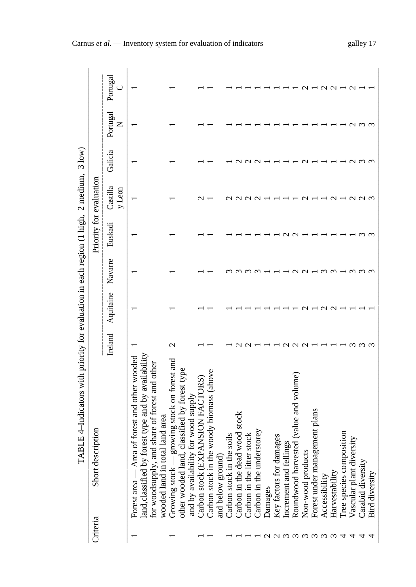|                                                                                          |                         | Portugal<br>ں      |                                                                                                                                                                                                         |                                                                                                                                              |                                      |                                              |                                                |                               |                               |                           |         |                         |                        |                                        |                   |                               |               |                |                              |                          |                   |                |
|------------------------------------------------------------------------------------------|-------------------------|--------------------|---------------------------------------------------------------------------------------------------------------------------------------------------------------------------------------------------------|----------------------------------------------------------------------------------------------------------------------------------------------|--------------------------------------|----------------------------------------------|------------------------------------------------|-------------------------------|-------------------------------|---------------------------|---------|-------------------------|------------------------|----------------------------------------|-------------------|-------------------------------|---------------|----------------|------------------------------|--------------------------|-------------------|----------------|
|                                                                                          |                         | Portugal<br>Z      |                                                                                                                                                                                                         |                                                                                                                                              |                                      |                                              |                                                |                               |                               |                           |         |                         |                        |                                        |                   |                               |               |                |                              |                          |                   |                |
|                                                                                          |                         | Galicia            |                                                                                                                                                                                                         |                                                                                                                                              |                                      |                                              |                                                |                               |                               |                           |         |                         |                        |                                        |                   |                               |               |                |                              |                          |                   |                |
|                                                                                          |                         | Castilla<br>y Leon |                                                                                                                                                                                                         |                                                                                                                                              |                                      |                                              |                                                |                               |                               |                           |         |                         |                        |                                        |                   |                               |               |                |                              |                          |                   |                |
|                                                                                          | Priority for evaluation | Euskadi            |                                                                                                                                                                                                         |                                                                                                                                              |                                      |                                              |                                                |                               |                               |                           |         |                         |                        |                                        |                   |                               |               |                |                              |                          |                   |                |
|                                                                                          |                         | Navarre            |                                                                                                                                                                                                         |                                                                                                                                              |                                      |                                              |                                                |                               |                               |                           |         |                         |                        |                                        |                   |                               |               |                |                              |                          |                   |                |
|                                                                                          |                         | Aquitaine          |                                                                                                                                                                                                         |                                                                                                                                              |                                      |                                              |                                                |                               |                               |                           |         |                         |                        |                                        |                   |                               |               |                |                              |                          |                   |                |
|                                                                                          |                         | Ireland            |                                                                                                                                                                                                         | $\mathbf{\sim}$                                                                                                                              |                                      |                                              |                                                |                               |                               |                           |         |                         |                        |                                        |                   |                               |               |                |                              |                          |                   |                |
| TABLE 4-Indicators with priority for evaluation in each region (1 high, 2 medium, 3 low) | Short description       |                    | forest type and by availability<br>Area of forest and other wooded<br>nd share of forest and other<br>tal land area<br>land, classified by 1<br>for woodsupply, an<br>wooded land in to<br>Forest area- | growing stock on forest and<br>I, classified by forest type<br>y for wood supply<br>other wooded land<br>and by availabilit<br>Growing stock | PANSION FACTORS)<br>Carbon stock (EX | e woody biomass (above<br>Carbon stock in th | Carbon stock in the soils<br>and below ground) | Carbon in the dead wood stock | stock<br>Carbon in the litter | Carbon in the understorey | Damages | Key factors for damages | Increment and fellings | Roundwood harvested (value and volume) | Non-wood products | Forest under management plans | Accessibility | Harvestability | osition<br>Tree species comp | Vascular plant diversity | Carabid diversity | Bird diversity |
|                                                                                          | Criteria                |                    |                                                                                                                                                                                                         |                                                                                                                                              |                                      |                                              |                                                |                               |                               |                           |         |                         |                        | ოოო                                    |                   |                               |               |                |                              |                          |                   |                |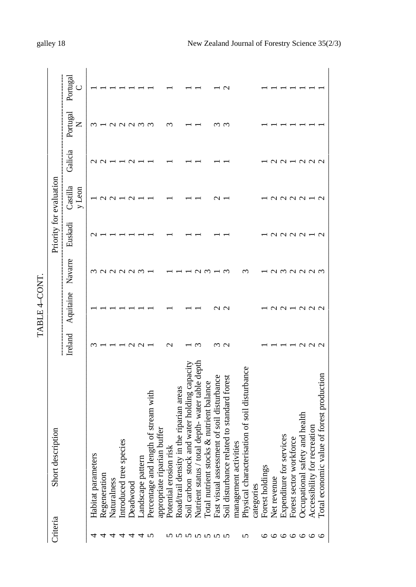|              |                                                  |                    | TABLE 4-CONT.        |         |                         |                    |               |               |          |
|--------------|--------------------------------------------------|--------------------|----------------------|---------|-------------------------|--------------------|---------------|---------------|----------|
| Criteria     | Short description                                |                    |                      |         | Priority for evaluation |                    |               |               |          |
|              |                                                  | Ireland            | Aquitaine            | Navarre | Euskadi                 | Castilla<br>y Leon | Galicia       | Portugal<br>z | Portugal |
| ↴            | Habitat parameters                               |                    |                      |         |                         |                    |               |               |          |
|              | Regeneration                                     |                    |                      |         |                         |                    |               |               |          |
|              | Naturalness                                      |                    |                      | りい      |                         | г                  |               |               |          |
|              | cies<br>Introduced tree spe                      |                    |                      |         |                         |                    |               |               |          |
| 4 4 4 4 4 70 | Deadwood                                         |                    |                      | 99 S    |                         |                    |               | $Q \cap Q$    |          |
|              | Landscape pattern                                |                    |                      |         |                         |                    |               |               |          |
|              | Percentage and length of stream with             |                    |                      |         |                         |                    |               |               |          |
|              | appropriate riparian buffer                      |                    |                      |         |                         |                    |               |               |          |
|              | ्रङ<br>Potential erosion ri                      | $\scriptstyle\sim$ |                      |         |                         |                    |               |               |          |
|              | in the riparian areas<br>Road/trail density      |                    |                      |         |                         |                    |               |               |          |
|              | and water holding capacit<br>Soil carbon stock   |                    |                      |         |                         |                    |               |               |          |
| nnnnnnn      | Nutrient status / total depth- water table depth |                    |                      |         |                         |                    |               |               |          |
|              | Total nutrient stocks & nutrient balance         |                    |                      |         |                         |                    |               |               |          |
|              | Fast visual assessment of soil disturbance       |                    |                      |         |                         |                    |               |               |          |
|              | Soil disturbance related to standard forest      | w u                | U U                  | $\sim$  |                         |                    |               | $\sim$        | $\sim$   |
|              | management activities                            |                    |                      |         |                         |                    |               |               |          |
| S            | Physical characterisation of soil disturbance    |                    |                      | $\sim$  |                         |                    |               |               |          |
|              | categories                                       |                    |                      |         |                         |                    |               |               |          |
|              | Forest holdings                                  |                    |                      |         |                         |                    |               |               |          |
|              | Net revenue                                      |                    |                      |         |                         | r                  |               |               |          |
|              | Expenditure for services                         |                    | $\sim$ $\sim$ $\sim$ | amaaa   | ころころし                   | 1 N N N H          | $\sim$        |               |          |
|              | Forest sector workforce                          |                    |                      |         |                         |                    |               |               |          |
|              | y and health<br>Occupational safet               |                    |                      |         |                         |                    |               |               |          |
| 0000000      | Accessibility for recreation                     | $\mathbf{\Omega}$  | 99 V                 |         |                         |                    | $\sim$ $\sim$ |               |          |
|              | Total economic value of forest production        |                    |                      | $\sim$  | $\overline{\circ}$      | $\sim$             | $\sim$        |               |          |